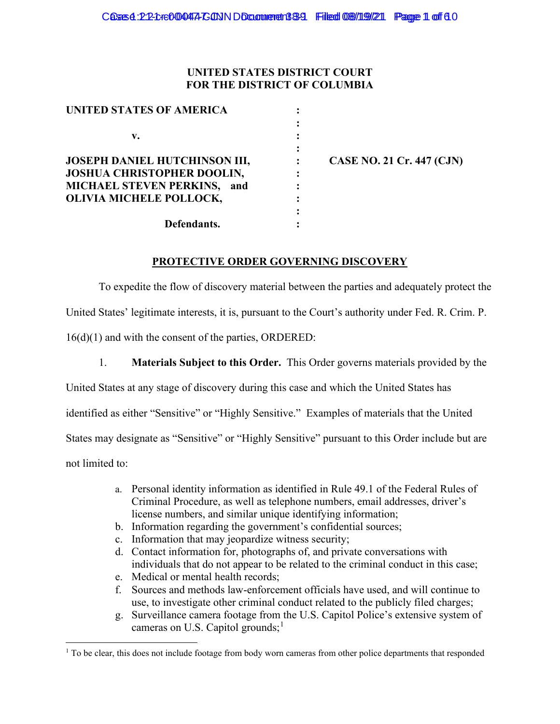### **UNITED STATES DISTRICT COURT FOR THE DISTRICT OF COLUMBIA**

| <b>UNITED STATES OF AMERICA</b>      |  |
|--------------------------------------|--|
|                                      |  |
| v.                                   |  |
|                                      |  |
| <b>JOSEPH DANIEL HUTCHINSON III,</b> |  |
| JOSHUA CHRISTOPHER DOOLIN,           |  |
| MICHAEL STEVEN PERKINS, and          |  |
| OLIVIA MICHELE POLLOCK,              |  |
|                                      |  |
| Defendants.                          |  |

**SE NO. 21 Cr. 447 (CJN)** 

### **PROTECTIVE ORDER GOVERNING DISCOVERY**

To expedite the flow of discovery material between the parties and adequately protect the United States' legitimate interests, it is, pursuant to the Court's authority under Fed. R. Crim. P. 16(d)(1) and with the consent of the parties, ORDERED:

1. **Materials Subject to this Order.** This Order governs materials provided by the

United States at any stage of discovery during this case and which the United States has

identified as either "Sensitive" or "Highly Sensitive." Examples of materials that the United

States may designate as "Sensitive" or "Highly Sensitive" pursuant to this Order include but are

not limited to:

- a. Personal identity information as identified in Rule 49.1 of the Federal Rules of Criminal Procedure, as well as telephone numbers, email addresses, driver's license numbers, and similar unique identifying information;
- b. Information regarding the government's confidential sources;
- c. Information that may jeopardize witness security;
- d. Contact information for, photographs of, and private conversations with individuals that do not appear to be related to the criminal conduct in this case;
- e. Medical or mental health records;
- f. Sources and methods law-enforcement officials have used, and will continue to use, to investigate other criminal conduct related to the publicly filed charges;
- g. Surveillance camera footage from the U.S. Capitol Police's extensive system of cameras on U.S. Capitol grounds;<sup>1</sup>

<sup>&</sup>lt;sup>1</sup> To be clear, this does not include footage from body worn cameras from other police departments that responded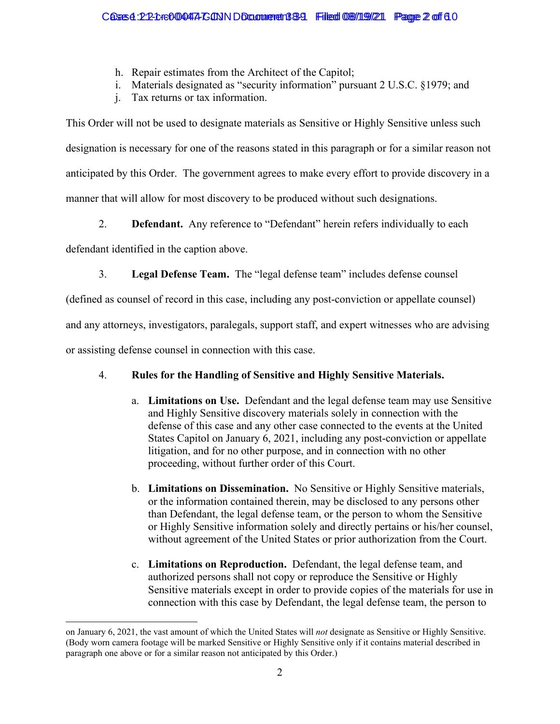- h. Repair estimates from the Architect of the Capitol;
- i. Materials designated as "security information" pursuant 2 U.S.C. §1979; and
- j. Tax returns or tax information.

This Order will not be used to designate materials as Sensitive or Highly Sensitive unless such designation is necessary for one of the reasons stated in this paragraph or for a similar reason not anticipated by this Order. The government agrees to make every effort to provide discovery in a manner that will allow for most discovery to be produced without such designations.

2. **Defendant.** Any reference to "Defendant" herein refers individually to each

defendant identified in the caption above.

3. **Legal Defense Team.** The "legal defense team" includes defense counsel

(defined as counsel of record in this case, including any post-conviction or appellate counsel)

and any attorneys, investigators, paralegals, support staff, and expert witnesses who are advising

or assisting defense counsel in connection with this case.

# 4. **Rules for the Handling of Sensitive and Highly Sensitive Materials.**

- a. **Limitations on Use.** Defendant and the legal defense team may use Sensitive and Highly Sensitive discovery materials solely in connection with the defense of this case and any other case connected to the events at the United States Capitol on January 6, 2021, including any post-conviction or appellate litigation, and for no other purpose, and in connection with no other proceeding, without further order of this Court.
- b. **Limitations on Dissemination.** No Sensitive or Highly Sensitive materials, or the information contained therein, may be disclosed to any persons other than Defendant, the legal defense team, or the person to whom the Sensitive or Highly Sensitive information solely and directly pertains or his/her counsel, without agreement of the United States or prior authorization from the Court.
- c. **Limitations on Reproduction.** Defendant, the legal defense team, and authorized persons shall not copy or reproduce the Sensitive or Highly Sensitive materials except in order to provide copies of the materials for use in connection with this case by Defendant, the legal defense team, the person to

on January 6, 2021, the vast amount of which the United States will *not* designate as Sensitive or Highly Sensitive. (Body worn camera footage will be marked Sensitive or Highly Sensitive only if it contains material described in paragraph one above or for a similar reason not anticipated by this Order.)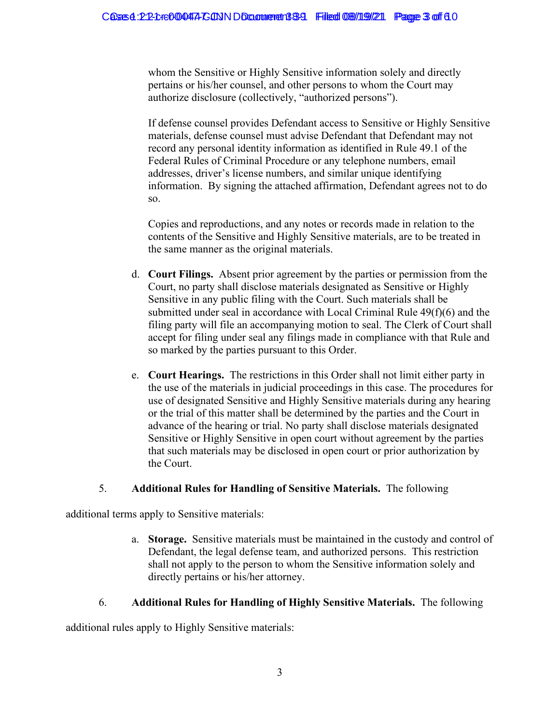whom the Sensitive or Highly Sensitive information solely and directly pertains or his/her counsel, and other persons to whom the Court may authorize disclosure (collectively, "authorized persons").

If defense counsel provides Defendant access to Sensitive or Highly Sensitive materials, defense counsel must advise Defendant that Defendant may not record any personal identity information as identified in Rule 49.1 of the Federal Rules of Criminal Procedure or any telephone numbers, email addresses, driver's license numbers, and similar unique identifying information. By signing the attached affirmation, Defendant agrees not to do so.

Copies and reproductions, and any notes or records made in relation to the contents of the Sensitive and Highly Sensitive materials, are to be treated in the same manner as the original materials.

- d. **Court Filings.** Absent prior agreement by the parties or permission from the Court, no party shall disclose materials designated as Sensitive or Highly Sensitive in any public filing with the Court. Such materials shall be submitted under seal in accordance with Local Criminal Rule 49(f)(6) and the filing party will file an accompanying motion to seal. The Clerk of Court shall accept for filing under seal any filings made in compliance with that Rule and so marked by the parties pursuant to this Order.
- e. **Court Hearings.** The restrictions in this Order shall not limit either party in the use of the materials in judicial proceedings in this case. The procedures for use of designated Sensitive and Highly Sensitive materials during any hearing or the trial of this matter shall be determined by the parties and the Court in advance of the hearing or trial. No party shall disclose materials designated Sensitive or Highly Sensitive in open court without agreement by the parties that such materials may be disclosed in open court or prior authorization by the Court.

# 5. **Additional Rules for Handling of Sensitive Materials.** The following

additional terms apply to Sensitive materials:

a. **Storage.** Sensitive materials must be maintained in the custody and control of Defendant, the legal defense team, and authorized persons. This restriction shall not apply to the person to whom the Sensitive information solely and directly pertains or his/her attorney.

# 6. **Additional Rules for Handling of Highly Sensitive Materials.** The following

additional rules apply to Highly Sensitive materials: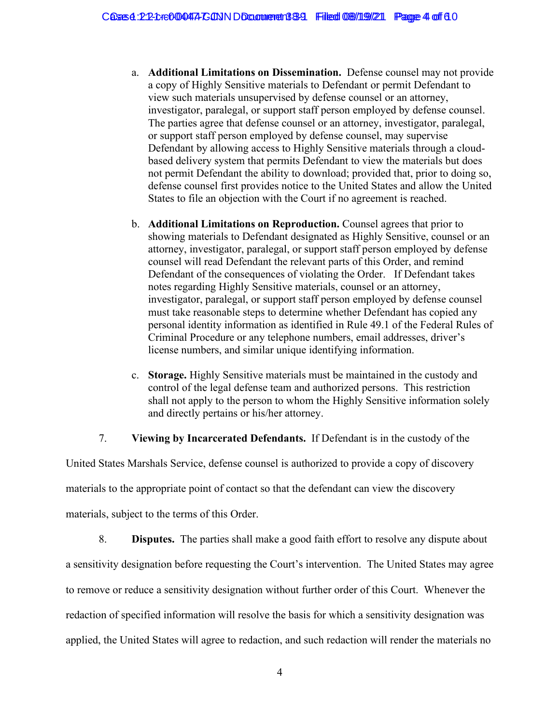- a. **Additional Limitations on Dissemination.** Defense counsel may not provide a copy of Highly Sensitive materials to Defendant or permit Defendant to view such materials unsupervised by defense counsel or an attorney, investigator, paralegal, or support staff person employed by defense counsel. The parties agree that defense counsel or an attorney, investigator, paralegal, or support staff person employed by defense counsel, may supervise Defendant by allowing access to Highly Sensitive materials through a cloudbased delivery system that permits Defendant to view the materials but does not permit Defendant the ability to download; provided that, prior to doing so, defense counsel first provides notice to the United States and allow the United States to file an objection with the Court if no agreement is reached.
- b. **Additional Limitations on Reproduction.** Counsel agrees that prior to showing materials to Defendant designated as Highly Sensitive, counsel or an attorney, investigator, paralegal, or support staff person employed by defense counsel will read Defendant the relevant parts of this Order, and remind Defendant of the consequences of violating the Order. If Defendant takes notes regarding Highly Sensitive materials, counsel or an attorney, investigator, paralegal, or support staff person employed by defense counsel must take reasonable steps to determine whether Defendant has copied any personal identity information as identified in Rule 49.1 of the Federal Rules of Criminal Procedure or any telephone numbers, email addresses, driver's license numbers, and similar unique identifying information.
- c. **Storage.** Highly Sensitive materials must be maintained in the custody and control of the legal defense team and authorized persons. This restriction shall not apply to the person to whom the Highly Sensitive information solely and directly pertains or his/her attorney.

### 7. **Viewing by Incarcerated Defendants.** If Defendant is in the custody of the

United States Marshals Service, defense counsel is authorized to provide a copy of discovery materials to the appropriate point of contact so that the defendant can view the discovery materials, subject to the terms of this Order.

8. **Disputes.** The parties shall make a good faith effort to resolve any dispute about a sensitivity designation before requesting the Court's intervention. The United States may agree to remove or reduce a sensitivity designation without further order of this Court. Whenever the redaction of specified information will resolve the basis for which a sensitivity designation was applied, the United States will agree to redaction, and such redaction will render the materials no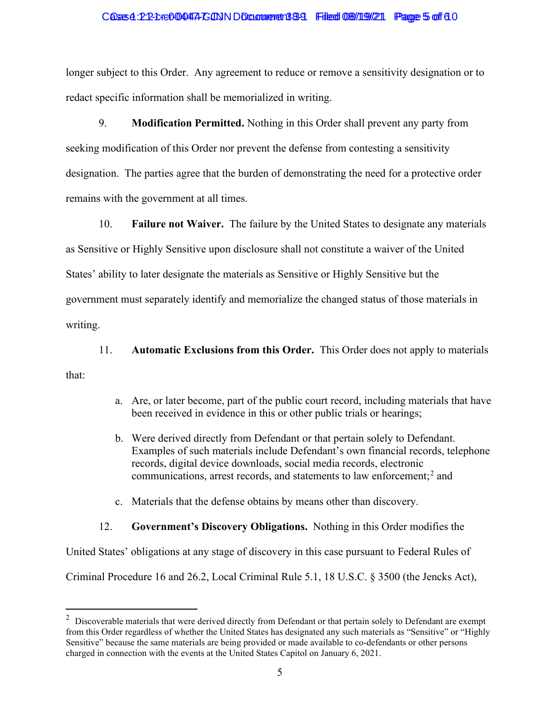#### Cases 4:22-cre000447-CONN Document 389 Filed 08/19/21 Page 5 of 6.0

longer subject to this Order. Any agreement to reduce or remove a sensitivity designation or to redact specific information shall be memorialized in writing.

9. **Modification Permitted.** Nothing in this Order shall prevent any party from seeking modification of this Order nor prevent the defense from contesting a sensitivity designation. The parties agree that the burden of demonstrating the need for a protective order remains with the government at all times.

10. **Failure not Waiver.** The failure by the United States to designate any materials as Sensitive or Highly Sensitive upon disclosure shall not constitute a waiver of the United States' ability to later designate the materials as Sensitive or Highly Sensitive but the government must separately identify and memorialize the changed status of those materials in writing.

11. **Automatic Exclusions from this Order.** This Order does not apply to materials that:

- a. Are, or later become, part of the public court record, including materials that have been received in evidence in this or other public trials or hearings;
- b. Were derived directly from Defendant or that pertain solely to Defendant. Examples of such materials include Defendant's own financial records, telephone records, digital device downloads, social media records, electronic communications, arrest records, and statements to law enforcement; <sup>2</sup> and
- c. Materials that the defense obtains by means other than discovery.

#### 12. **Government's Discovery Obligations.** Nothing in this Order modifies the

United States' obligations at any stage of discovery in this case pursuant to Federal Rules of

Criminal Procedure 16 and 26.2, Local Criminal Rule 5.1, 18 U.S.C. § 3500 (the Jencks Act),

 $2$  Discoverable materials that were derived directly from Defendant or that pertain solely to Defendant are exempt from this Order regardless of whether the United States has designated any such materials as "Sensitive" or "Highly Sensitive" because the same materials are being provided or made available to co-defendants or other persons charged in connection with the events at the United States Capitol on January 6, 2021.